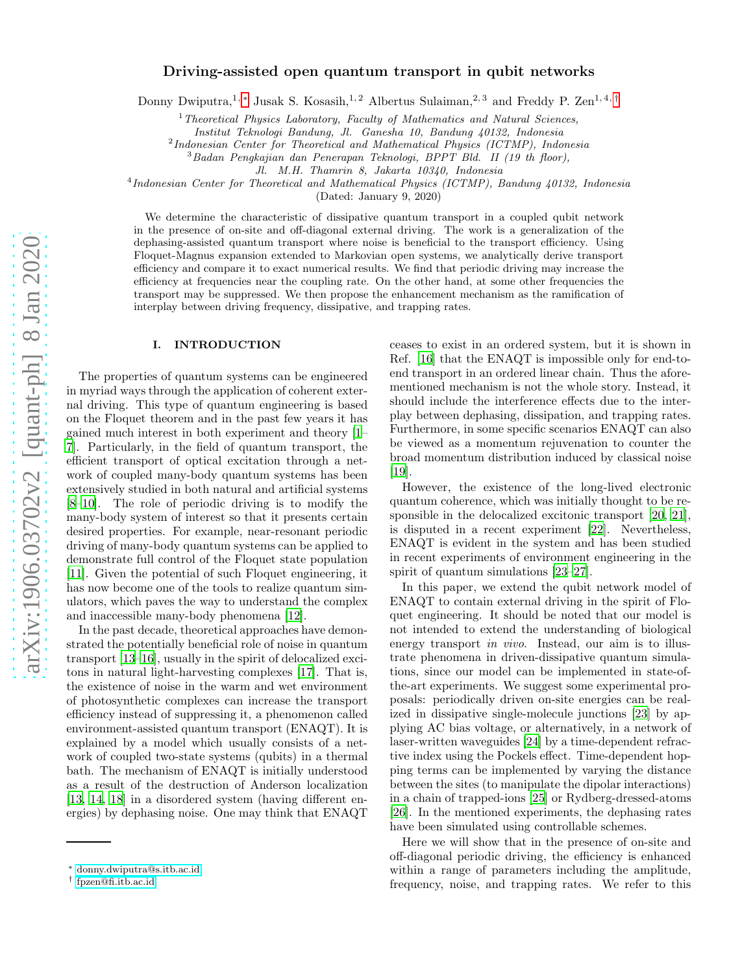## Driving-assisted open quantum transport in qubit networks

Donny Dwiputra,<sup>1, \*</sup> Jusak S. Kosasih,<sup>1,2</sup> Albertus Sulaiman,<sup>2,3</sup> and Freddy P. Zen<sup>1,4,[†](#page-0-1)</sup>

<sup>1</sup>*Theoretical Physics Laboratory, Faculty of Mathematics and Natural Sciences,*

*Institut Teknologi Bandung, Jl. Ganesha 10, Bandung 40132, Indonesia*

2 *Indonesian Center for Theoretical and Mathematical Physics (ICTMP), Indonesia*

<sup>3</sup>*Badan Pengkajian dan Penerapan Teknologi, BPPT Bld. II (19 th floor),*

*Jl. M.H. Thamrin 8, Jakarta 10340, Indonesia*

4 *Indonesian Center for Theoretical and Mathematical Physics (ICTMP), Bandung 40132, Indonesia*

(Dated: January 9, 2020)

We determine the characteristic of dissipative quantum transport in a coupled qubit network in the presence of on-site and off-diagonal external driving. The work is a generalization of the dephasing-assisted quantum transport where noise is beneficial to the transport efficiency. Using Floquet-Magnus expansion extended to Markovian open systems, we analytically derive transport efficiency and compare it to exact numerical results. We find that periodic driving may increase the efficiency at frequencies near the coupling rate. On the other hand, at some other frequencies the transport may be suppressed. We then propose the enhancement mechanism as the ramification of interplay between driving frequency, dissipative, and trapping rates.

## I. INTRODUCTION

The properties of quantum systems can be engineered in myriad ways through the application of coherent external driving. This type of quantum engineering is based on the Floquet theorem and in the past few years it has gained much interest in both experiment and theory [\[1](#page-8-0)– [7](#page-8-1)]. Particularly, in the field of quantum transport, the efficient transport of optical excitation through a network of coupled many-body quantum systems has been extensively studied in both natural and artificial systems [\[8](#page-8-2)[–10\]](#page-8-3). The role of periodic driving is to modify the many-body system of interest so that it presents certain desired properties. For example, near-resonant periodic driving of many-body quantum systems can be applied to demonstrate full control of the Floquet state population [\[11\]](#page-8-4). Given the potential of such Floquet engineering, it has now become one of the tools to realize quantum simulators, which paves the way to understand the complex and inaccessible many-body phenomena [\[12](#page-8-5)].

In the past decade, theoretical approaches have demonstrated the potentially beneficial role of noise in quantum transport [\[13](#page-8-6)[–16\]](#page-8-7), usually in the spirit of delocalized excitons in natural light-harvesting complexes [\[17](#page-8-8)]. That is, the existence of noise in the warm and wet environment of photosynthetic complexes can increase the transport efficiency instead of suppressing it, a phenomenon called environment-assisted quantum transport (ENAQT). It is explained by a model which usually consists of a network of coupled two-state systems (qubits) in a thermal bath. The mechanism of ENAQT is initially understood as a result of the destruction of Anderson localization [\[13,](#page-8-6) [14](#page-8-9), [18\]](#page-8-10) in a disordered system (having different energies) by dephasing noise. One may think that ENAQT

ceases to exist in an ordered system, but it is shown in Ref. [\[16\]](#page-8-7) that the ENAQT is impossible only for end-toend transport in an ordered linear chain. Thus the aforementioned mechanism is not the whole story. Instead, it should include the interference effects due to the interplay between dephasing, dissipation, and trapping rates. Furthermore, in some specific scenarios ENAQT can also be viewed as a momentum rejuvenation to counter the broad momentum distribution induced by classical noise [\[19\]](#page-8-11).

However, the existence of the long-lived electronic quantum coherence, which was initially thought to be responsible in the delocalized excitonic transport [\[20](#page-8-12), [21\]](#page-8-13), is disputed in a recent experiment [\[22\]](#page-8-14). Nevertheless, ENAQT is evident in the system and has been studied in recent experiments of environment engineering in the spirit of quantum simulations [\[23](#page-8-15)[–27\]](#page-8-16).

In this paper, we extend the qubit network model of ENAQT to contain external driving in the spirit of Floquet engineering. It should be noted that our model is not intended to extend the understanding of biological energy transport *in vivo*. Instead, our aim is to illustrate phenomena in driven-dissipative quantum simulations, since our model can be implemented in state-ofthe-art experiments. We suggest some experimental proposals: periodically driven on-site energies can be realized in dissipative single-molecule junctions [\[23\]](#page-8-15) by applying AC bias voltage, or alternatively, in a network of laser-written waveguides [\[24\]](#page-8-17) by a time-dependent refractive index using the Pockels effect. Time-dependent hopping terms can be implemented by varying the distance between the sites (to manipulate the dipolar interactions) in a chain of trapped-ions [\[25](#page-8-18)] or Rydberg-dressed-atoms [\[26\]](#page-8-19). In the mentioned experiments, the dephasing rates have been simulated using controllable schemes.

Here we will show that in the presence of on-site and off-diagonal periodic driving, the efficiency is enhanced within a range of parameters including the amplitude, frequency, noise, and trapping rates. We refer to this

<span id="page-0-0"></span><sup>∗</sup> [donny.dwiputra@s.itb.ac.id](mailto:donny.dwiputra@s.itb.ac.id)

<span id="page-0-1"></span><sup>†</sup> [fpzen@fi.itb.ac.id](mailto:fpzen@fi.itb.ac.id)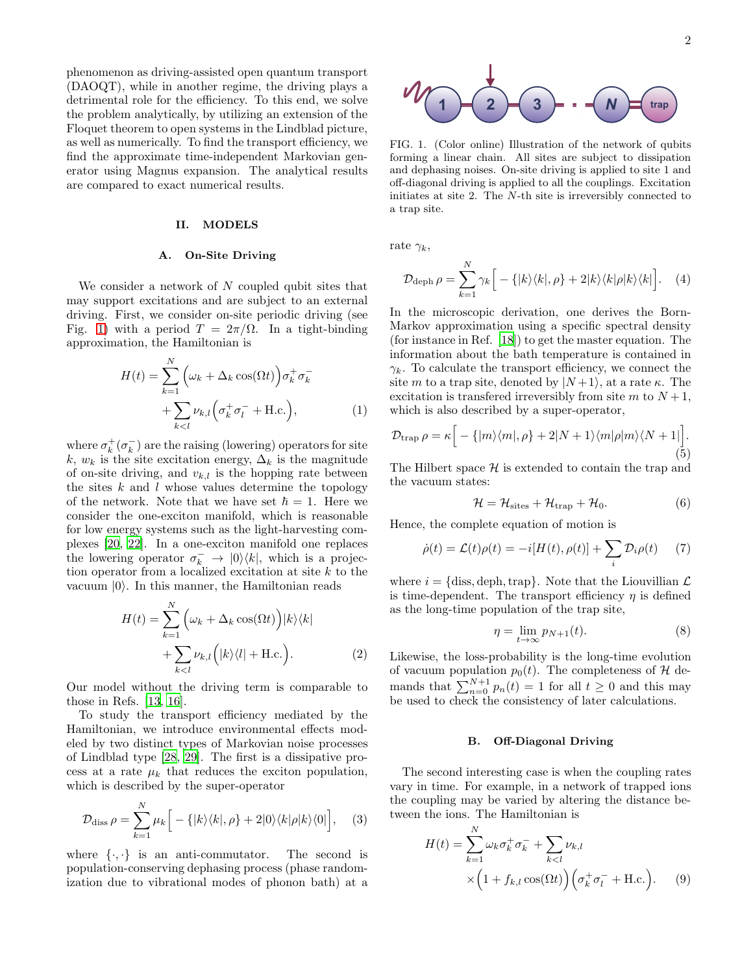phenomenon as driving-assisted open quantum transport (DAOQT), while in another regime, the driving plays a detrimental role for the efficiency. To this end, we solve the problem analytically, by utilizing an extension of the Floquet theorem to open systems in the Lindblad picture, as well as numerically. To find the transport efficiency, we find the approximate time-independent Markovian generator using Magnus expansion. The analytical results are compared to exact numerical results.

## II. MODELS

#### A. On-Site Driving

We consider a network of  $N$  coupled qubit sites that may support excitations and are subject to an external driving. First, we consider on-site periodic driving (see Fig. [1\)](#page-1-0) with a period  $T = 2\pi/\Omega$ . In a tight-binding approximation, the Hamiltonian is

$$
H(t) = \sum_{k=1}^{N} \left(\omega_k + \Delta_k \cos(\Omega t)\right) \sigma_k^+ \sigma_k^- + \sum_{k < l} \nu_{k,l} \left(\sigma_k^+ \sigma_l^- + \text{H.c.}\right),\tag{1}
$$

where  $\sigma_k^+(\sigma_k^-)$  are the raising (lowering) operators for site k,  $w_k$  is the site excitation energy,  $\Delta_k$  is the magnitude of on-site driving, and  $v_{k,l}$  is the hopping rate between the sites  $k$  and  $l$  whose values determine the topology of the network. Note that we have set  $\hbar = 1$ . Here we consider the one-exciton manifold, which is reasonable for low energy systems such as the light-harvesting complexes [\[20](#page-8-12), [22](#page-8-14)]. In a one-exciton manifold one replaces the lowering operator  $\sigma_k^- \to |0\rangle\langle k|$ , which is a projection operator from a localized excitation at site  $k$  to the vacuum  $|0\rangle$ . In this manner, the Hamiltonian reads

$$
H(t) = \sum_{k=1}^{N} \left( \omega_k + \Delta_k \cos(\Omega t) \right) |k\rangle \langle k|
$$

$$
+ \sum_{k < l} \nu_{k,l} \left( |k\rangle \langle l| + \text{H.c.} \right). \tag{2}
$$

Our model without the driving term is comparable to those in Refs. [\[13](#page-8-6), [16\]](#page-8-7).

To study the transport efficiency mediated by the Hamiltonian, we introduce environmental effects modeled by two distinct types of Markovian noise processes of Lindblad type [\[28,](#page-8-20) [29](#page-8-21)]. The first is a dissipative process at a rate  $\mu_k$  that reduces the exciton population, which is described by the super-operator

$$
\mathcal{D}_{\text{diss}} \,\rho = \sum_{k=1}^{N} \mu_k \Big[ -\{ |k\rangle\langle k|, \rho \} + 2 |0\rangle\langle k| \rho |k\rangle\langle 0| \Big], \quad (3)
$$

where  $\{\cdot,\cdot\}$  is an anti-commutator. The second is population-conserving dephasing process (phase randomization due to vibrational modes of phonon bath) at a

<span id="page-1-0"></span>FIG. 1. (Color online) Illustration of the network of qubits forming a linear chain. All sites are subject to dissipation and dephasing noises. On-site driving is applied to site 1 and off-diagonal driving is applied to all the couplings. Excitation initiates at site 2. The N-th site is irreversibly connected to a trap site.

rate  $\gamma_k$ ,

$$
\mathcal{D}_{\text{deph}} \,\rho = \sum_{k=1}^{N} \gamma_k \Big[ -\{ |k\rangle \langle k|, \rho \} + 2 |k\rangle \langle k| \rho |k\rangle \langle k| \Big]. \tag{4}
$$

In the microscopic derivation, one derives the Born-Markov approximation using a specific spectral density (for instance in Ref. [\[18\]](#page-8-10)) to get the master equation. The information about the bath temperature is contained in  $\gamma_k$ . To calculate the transport efficiency, we connect the site m to a trap site, denoted by  $|N+1\rangle$ , at a rate  $\kappa$ . The excitation is transferred irreversibly from site m to  $N+1$ , which is also described by a super-operator,

$$
\mathcal{D}_{\text{trap}} \rho = \kappa \Big[ -\{ |m\rangle\langle m|, \rho \} + 2|N+1\rangle\langle m|\rho|m\rangle\langle N+1| \Big]. \tag{5}
$$

The Hilbert space  $\mathcal H$  is extended to contain the trap and the vacuum states:

$$
\mathcal{H} = \mathcal{H}_{\text{sites}} + \mathcal{H}_{\text{trap}} + \mathcal{H}_0. \tag{6}
$$

Hence, the complete equation of motion is

<span id="page-1-2"></span>
$$
\dot{\rho}(t) = \mathcal{L}(t)\rho(t) = -i[H(t), \rho(t)] + \sum_{i} \mathcal{D}_i \rho(t) \tag{7}
$$

where  $i = \{$ diss, deph, trap}. Note that the Liouvillian  $\mathcal{L}$ is time-dependent. The transport efficiency  $\eta$  is defined as the long-time population of the trap site,

<span id="page-1-1"></span>
$$
\eta = \lim_{t \to \infty} p_{N+1}(t). \tag{8}
$$

Likewise, the loss-probability is the long-time evolution of vacuum population  $p_0(t)$ . The completeness of H demands that  $\sum_{n=0}^{N+1} p_n(t) = 1$  for all  $t \ge 0$  and this may be used to check the consistency of later calculations.

#### B. Off-Diagonal Driving

The second interesting case is when the coupling rates vary in time. For example, in a network of trapped ions the coupling may be varied by altering the distance between the ions. The Hamiltonian is

$$
H(t) = \sum_{k=1}^{N} \omega_k \sigma_k^+ \sigma_k^- + \sum_{k < l} \nu_{k,l}
$$

$$
\times \left(1 + f_{k,l} \cos(\Omega t)\right) \left(\sigma_k^+ \sigma_l^- + \text{H.c.}\right). \tag{9}
$$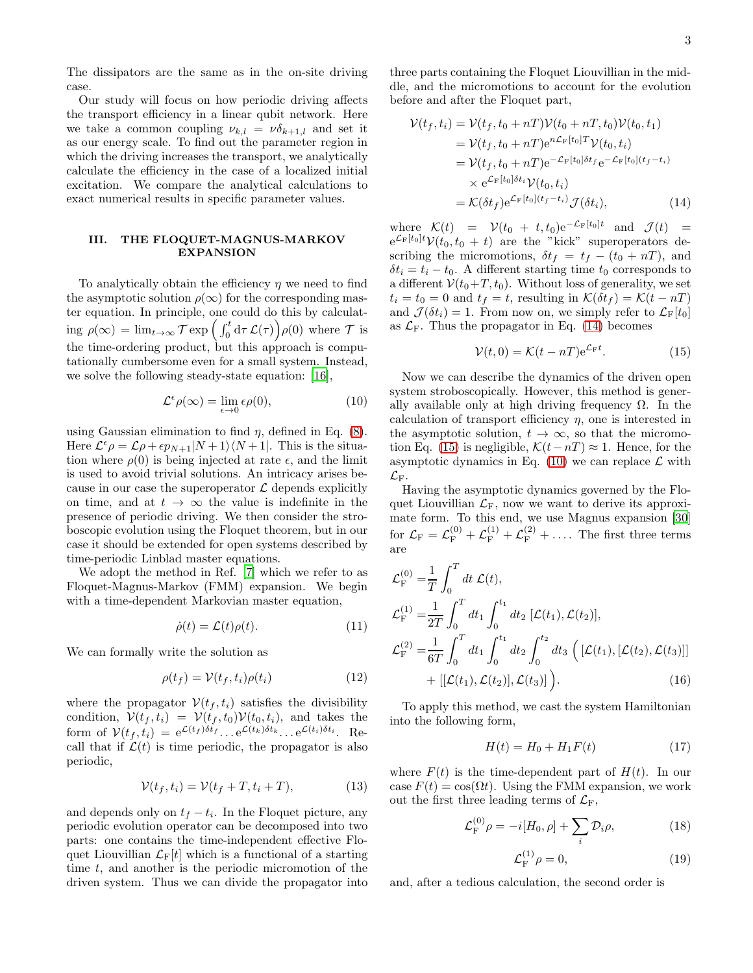The dissipators are the same as in the on-site driving case.

Our study will focus on how periodic driving affects the transport efficiency in a linear qubit network. Here we take a common coupling  $\nu_{k,l} = \nu \delta_{k+1,l}$  and set it as our energy scale. To find out the parameter region in which the driving increases the transport, we analytically calculate the efficiency in the case of a localized initial excitation. We compare the analytical calculations to exact numerical results in specific parameter values.

## III. THE FLOQUET-MAGNUS-MARKOV EXPANSION

To analytically obtain the efficiency  $\eta$  we need to find the asymptotic solution  $\rho(\infty)$  for the corresponding master equation. In principle, one could do this by calculating  $\rho(\infty) = \lim_{t \to \infty} \mathcal{T} \exp\left(\int_0^t \mathrm{d}\tau \, \mathcal{L}(\tau)\right) \rho(0)$  where  $\mathcal{T}$  is the time-ordering product, but this approach is computationally cumbersome even for a small system. Instead, we solve the following steady-state equation: [\[16](#page-8-7)],

<span id="page-2-2"></span>
$$
\mathcal{L}^{\epsilon}\rho(\infty) = \lim_{\epsilon \to 0} \epsilon \rho(0), \tag{10}
$$

using Gaussian elimination to find  $\eta$ , defined in Eq. [\(8\)](#page-1-1). Here  $\mathcal{L}^{\epsilon}\rho = \mathcal{L}\rho + \epsilon p_{N+1}|N+1\rangle\langle N+1|$ . This is the situation where  $\rho(0)$  is being injected at rate  $\epsilon$ , and the limit is used to avoid trivial solutions. An intricacy arises because in our case the superoperator  $\mathcal L$  depends explicitly on time, and at  $t \to \infty$  the value is indefinite in the presence of periodic driving. We then consider the stroboscopic evolution using the Floquet theorem, but in our case it should be extended for open systems described by time-periodic Linblad master equations.

We adopt the method in Ref. [\[7](#page-8-1)] which we refer to as Floquet-Magnus-Markov (FMM) expansion. We begin with a time-dependent Markovian master equation,

$$
\dot{\rho}(t) = \mathcal{L}(t)\rho(t). \tag{11}
$$

We can formally write the solution as

$$
\rho(t_f) = \mathcal{V}(t_f, t_i) \rho(t_i) \tag{12}
$$

where the propagator  $V(t_f, t_i)$  satisfies the divisibility condition,  $V(t_f, t_i) = V(t_f, t_0)V(t_0, t_i)$ , and takes the form of  $V(t_f, t_i) = e^{\mathcal{L}(t_f)\delta t_f} \dots e^{\mathcal{L}(t_k)\delta t_k} \dots e^{\mathcal{L}(t_i)\delta t_i}$ . Recall that if  $\mathcal{L}(t)$  is time periodic, the propagator is also periodic,

$$
\mathcal{V}(t_f, t_i) = \mathcal{V}(t_f + T, t_i + T), \tag{13}
$$

and depends only on  $t_f - t_i$ . In the Floquet picture, any periodic evolution operator can be decomposed into two parts: one contains the time-independent effective Floquet Liouvillian  $\mathcal{L}_{\mathrm{F}}[t]$  which is a functional of a starting time t, and another is the periodic micromotion of the driven system. Thus we can divide the propagator into

three parts containing the Floquet Liouvillian in the middle, and the micromotions to account for the evolution before and after the Floquet part,

<span id="page-2-0"></span>
$$
\mathcal{V}(t_f, t_i) = \mathcal{V}(t_f, t_0 + nT)\mathcal{V}(t_0 + nT, t_0)\mathcal{V}(t_0, t_1)
$$
  
\n
$$
= \mathcal{V}(t_f, t_0 + nT)e^{n\mathcal{L}_{\mathcal{F}}[t_0]T}\mathcal{V}(t_0, t_i)
$$
  
\n
$$
= \mathcal{V}(t_f, t_0 + nT)e^{-\mathcal{L}_{\mathcal{F}}[t_0]\delta t_f}e^{-\mathcal{L}_{\mathcal{F}}[t_0](t_f - t_i)}
$$
  
\n
$$
\times e^{\mathcal{L}_{\mathcal{F}}[t_0]\delta t_i}\mathcal{V}(t_0, t_i)
$$
  
\n
$$
= \mathcal{K}(\delta t_f)e^{\mathcal{L}_{\mathcal{F}}[t_0](t_f - t_i)}\mathcal{J}(\delta t_i), \qquad (14)
$$

where  $\mathcal{K}(t) = \mathcal{V}(t_0 + t, t_0) e^{-\mathcal{L}_F[t_0]t}$  and  $\mathcal{J}(t) =$  $e^{\mathcal{L}_{\text{F}}[t_0]t}\mathcal{V}(t_0,t_0+t)$  are the "kick" superoperators describing the micromotions,  $\delta t_f = t_f - (t_0 + nT)$ , and  $\delta t_i = t_i - t_0$ . A different starting time  $t_0$  corresponds to a different  $V(t_0+T, t_0)$ . Without loss of generality, we set  $t_i = t_0 = 0$  and  $t_f = t$ , resulting in  $\mathcal{K}(\delta t_f) = \mathcal{K}(t - nT)$ and  $\mathcal{J}(\delta t_i) = 1$ . From now on, we simply refer to  $\mathcal{L}_{\text{F}}[t_0]$ as  $\mathcal{L}_F$ . Thus the propagator in Eq. [\(14\)](#page-2-0) becomes

<span id="page-2-1"></span>
$$
\mathcal{V}(t,0) = \mathcal{K}(t - nT)e^{\mathcal{L}_{\mathbf{F}}t}.
$$
 (15)

Now we can describe the dynamics of the driven open system stroboscopically. However, this method is generally available only at high driving frequency  $\Omega$ . In the calculation of transport efficiency  $\eta$ , one is interested in the asymptotic solution,  $t \to \infty$ , so that the micromo-tion Eq. [\(15\)](#page-2-1) is negligible,  $\mathcal{K}(t-nT) \approx 1$ . Hence, for the asymptotic dynamics in Eq. [\(10\)](#page-2-2) we can replace  $\mathcal L$  with  $\mathcal{L}_{\mathrm{F}}$ .

Having the asymptotic dynamics governed by the Floquet Liouvillian  $\mathcal{L}_F$ , now we want to derive its approximate form. To this end, we use Magnus expansion [\[30](#page-8-22)] for  $\mathcal{L}_{\text{F}} = \mathcal{L}_{\text{F}}^{(0)} + \mathcal{L}_{\text{F}}^{(1)} + \mathcal{L}_{\text{F}}^{(2)} + \dots$  The first three terms are

$$
\mathcal{L}_{\mathrm{F}}^{(0)} = \frac{1}{T} \int_{0}^{T} dt \, \mathcal{L}(t),
$$
\n
$$
\mathcal{L}_{\mathrm{F}}^{(1)} = \frac{1}{2T} \int_{0}^{T} dt_{1} \int_{0}^{t_{1}} dt_{2} \, [\mathcal{L}(t_{1}), \mathcal{L}(t_{2})],
$$
\n
$$
\mathcal{L}_{\mathrm{F}}^{(2)} = \frac{1}{6T} \int_{0}^{T} dt_{1} \int_{0}^{t_{1}} dt_{2} \int_{0}^{t_{2}} dt_{3} \, ([\mathcal{L}(t_{1}), [\mathcal{L}(t_{2}), \mathcal{L}(t_{3})]] + [[\mathcal{L}(t_{1}), \mathcal{L}(t_{2})], \mathcal{L}(t_{3})] ). \tag{16}
$$

To apply this method, we cast the system Hamiltonian into the following form,

<span id="page-2-3"></span>
$$
H(t) = H_0 + H_1 F(t)
$$
 (17)

where  $F(t)$  is the time-dependent part of  $H(t)$ . In our case  $F(t) = \cos(\Omega t)$ . Using the FMM expansion, we work out the first three leading terms of  $\mathcal{L}_{\mathrm{F}}$ ,

<span id="page-2-4"></span>
$$
\mathcal{L}_{\mathcal{F}}^{(0)} \rho = -i[H_0, \rho] + \sum_{i} \mathcal{D}_i \rho,\tag{18}
$$

$$
\mathcal{L}_{\mathcal{F}}^{(1)} \rho = 0,\tag{19}
$$

and, after a tedious calculation, the second order is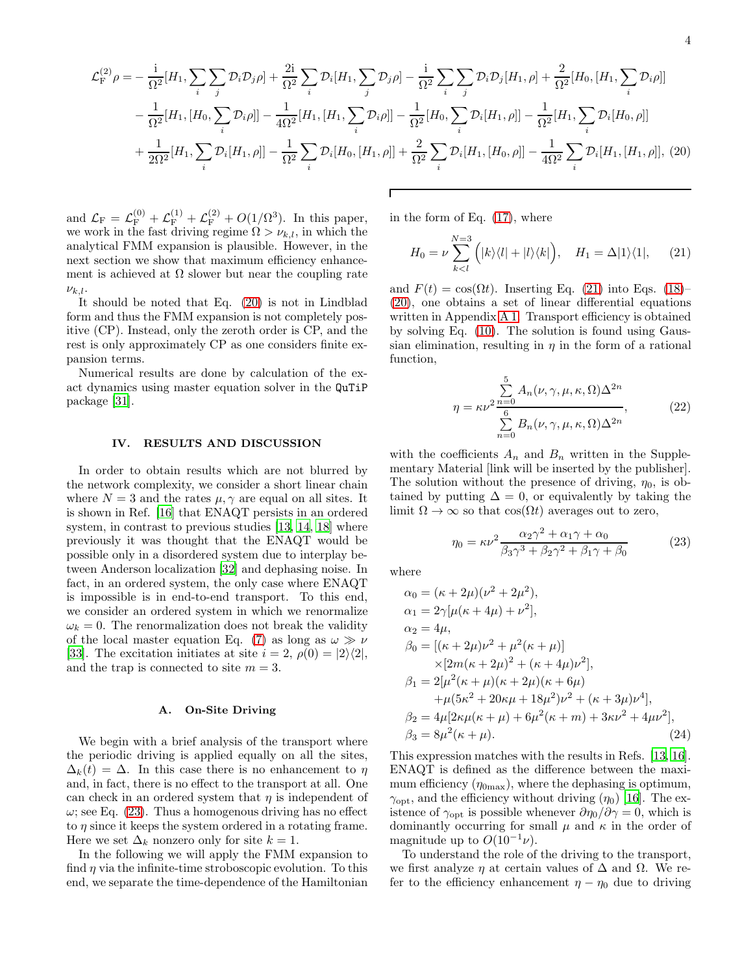<span id="page-3-0"></span>
$$
\mathcal{L}_{\rm F}^{(2)} \rho = -\frac{\mathrm{i}}{\Omega^2} [H_1, \sum_i \sum_j \mathcal{D}_i \mathcal{D}_j \rho] + \frac{2\mathrm{i}}{\Omega^2} \sum_i \mathcal{D}_i [H_1, \sum_j \mathcal{D}_j \rho] - \frac{\mathrm{i}}{\Omega^2} \sum_i \sum_j \mathcal{D}_i \mathcal{D}_j [H_1, \rho] + \frac{2}{\Omega^2} [H_0, [H_1, \sum_i \mathcal{D}_i \rho]]
$$
  

$$
- \frac{1}{\Omega^2} [H_1, [H_0, \sum_i \mathcal{D}_i \rho]] - \frac{1}{4\Omega^2} [H_1, [H_1, \sum_i \mathcal{D}_i \rho]] - \frac{1}{\Omega^2} [H_0, \sum_i \mathcal{D}_i [H_1, \rho]] - \frac{1}{\Omega^2} [H_1, \sum_i \mathcal{D}_i [H_0, \rho]]
$$
  

$$
+ \frac{1}{2\Omega^2} [H_1, \sum_i \mathcal{D}_i [H_1, \rho]] - \frac{1}{\Omega^2} \sum_i \mathcal{D}_i [H_0, [H_1, \rho]] + \frac{2}{\Omega^2} \sum_i \mathcal{D}_i [H_1, [H_0, \rho]] - \frac{1}{4\Omega^2} \sum_i \mathcal{D}_i [H_1, [H_1, \rho]], (20)
$$

Г

and  $\mathcal{L}_{\rm F} = \mathcal{L}_{\rm F}^{(0)} + \mathcal{L}_{\rm F}^{(1)} + \mathcal{L}_{\rm F}^{(2)} + O(1/\Omega^3)$ . In this paper, we work in the fast driving regime  $\Omega > \nu_{k,l}$ , in which the analytical FMM expansion is plausible. However, in the next section we show that maximum efficiency enhancement is achieved at  $\Omega$  slower but near the coupling rate  $\nu_{k,l}$ .

It should be noted that Eq. [\(20\)](#page-3-0) is not in Lindblad form and thus the FMM expansion is not completely positive (CP). Instead, only the zeroth order is CP, and the rest is only approximately CP as one considers finite expansion terms.

Numerical results are done by calculation of the exact dynamics using master equation solver in the QuTiP package [\[31\]](#page-8-23).

## IV. RESULTS AND DISCUSSION

In order to obtain results which are not blurred by the network complexity, we consider a short linear chain where  $N = 3$  and the rates  $\mu, \gamma$  are equal on all sites. It is shown in Ref. [\[16\]](#page-8-7) that ENAQT persists in an ordered system, in contrast to previous studies [\[13](#page-8-6), [14,](#page-8-9) [18\]](#page-8-10) where previously it was thought that the ENAQT would be possible only in a disordered system due to interplay between Anderson localization [\[32\]](#page-8-24) and dephasing noise. In fact, in an ordered system, the only case where ENAQT is impossible is in end-to-end transport. To this end, we consider an ordered system in which we renormalize  $\omega_k = 0$ . The renormalization does not break the validity of the local master equation Eq. [\(7\)](#page-1-2) as long as  $\omega \gg \nu$ [\[33\]](#page-8-25). The excitation initiates at site  $i = 2$ ,  $\rho(0) = |2\rangle\langle 2|$ , and the trap is connected to site  $m = 3$ .

## A. On-Site Driving

We begin with a brief analysis of the transport where the periodic driving is applied equally on all the sites,  $\Delta_k(t) = \Delta$ . In this case there is no enhancement to  $\eta$ and, in fact, there is no effect to the transport at all. One can check in an ordered system that  $\eta$  is independent of  $\omega$ ; see Eq. [\(23\)](#page-3-1). Thus a homogenous driving has no effect to  $\eta$  since it keeps the system ordered in a rotating frame. Here we set  $\Delta_k$  nonzero only for site  $k = 1$ .

In the following we will apply the FMM expansion to find  $\eta$  via the infinite-time stroboscopic evolution. To this end, we separate the time-dependence of the Hamiltonian

in the form of Eq. [\(17\)](#page-2-3), where

<span id="page-3-2"></span>
$$
H_0 = \nu \sum_{k
$$

and  $F(t) = \cos(\Omega t)$ . Inserting Eq. [\(21\)](#page-3-2) into Eqs. [\(18\)](#page-2-4)– [\(20\)](#page-3-0), one obtains a set of linear differential equations written in Appendix [A 1.](#page-7-0) Transport efficiency is obtained by solving Eq. [\(10\)](#page-2-2). The solution is found using Gaussian elimination, resulting in  $\eta$  in the form of a rational function,

<span id="page-3-3"></span>
$$
\eta = \kappa \nu^2 \frac{\sum\limits_{n=0}^{5} A_n(\nu, \gamma, \mu, \kappa, \Omega) \Delta^{2n}}{\sum\limits_{n=0}^{6} B_n(\nu, \gamma, \mu, \kappa, \Omega) \Delta^{2n}},
$$
(22)

with the coefficients  $A_n$  and  $B_n$  written in the Supplementary Material [link will be inserted by the publisher]. The solution without the presence of driving,  $\eta_0$ , is obtained by putting  $\Delta = 0$ , or equivalently by taking the limit  $\Omega \to \infty$  so that  $\cos(\Omega t)$  averages out to zero,

<span id="page-3-1"></span>
$$
\eta_0 = \kappa \nu^2 \frac{\alpha_2 \gamma^2 + \alpha_1 \gamma + \alpha_0}{\beta_3 \gamma^3 + \beta_2 \gamma^2 + \beta_1 \gamma + \beta_0} \tag{23}
$$

where

$$
\alpha_0 = (\kappa + 2\mu)(\nu^2 + 2\mu^2),\n\alpha_1 = 2\gamma[\mu(\kappa + 4\mu) + \nu^2],\n\alpha_2 = 4\mu,\n\beta_0 = [(\kappa + 2\mu)\nu^2 + \mu^2(\kappa + \mu)]\n\times[2m(\kappa + 2\mu)^2 + (\kappa + 4\mu)\nu^2],\n\beta_1 = 2[\mu^2(\kappa + \mu)(\kappa + 2\mu)(\kappa + 6\mu)\n\times[\kappa\mu + 48\mu^2]\nu^2 + (\kappa + 3\mu)\nu^4],\n\beta_2 = 4\mu[2\kappa\mu(\kappa + \mu) + 6\mu^2(\kappa + m) + 3\kappa\nu^2 + 4\mu\nu^2],\n\beta_3 = 8\mu^2(\kappa + \mu).
$$
\n(24)

This expression matches with the results in Refs. [\[13,](#page-8-6) [16\]](#page-8-7). ENAQT is defined as the difference between the maximum efficiency  $(\eta_{0\text{max}})$ , where the dephasing is optimum,  $\gamma_{\text{opt}}$ , and the efficiency without driving  $(\eta_0)$  [\[16\]](#page-8-7). The existence of  $\gamma_{\text{opt}}$  is possible whenever  $\partial \eta_0 / \partial \gamma = 0$ , which is dominantly occurring for small  $\mu$  and  $\kappa$  in the order of magnitude up to  $O(10^{-1}\nu)$ .

To understand the role of the driving to the transport, we first analyze  $\eta$  at certain values of  $\Delta$  and  $\Omega$ . We refer to the efficiency enhancement  $\eta - \eta_0$  due to driving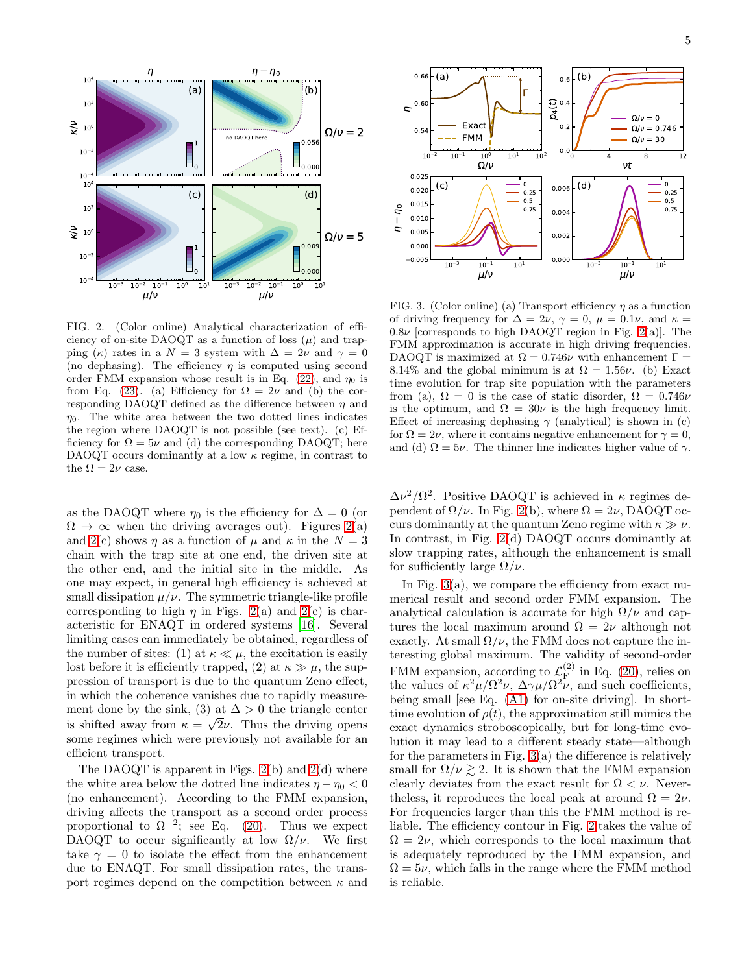

<span id="page-4-0"></span>FIG. 2. (Color online) Analytical characterization of efficiency of on-site DAOQT as a function of loss  $(\mu)$  and trapping (κ) rates in a  $N = 3$  system with  $\Delta = 2\nu$  and  $\gamma = 0$ (no dephasing). The efficiency  $\eta$  is computed using second order FMM expansion whose result is in Eq. [\(22\)](#page-3-3), and  $\eta_0$  is from Eq. [\(23\)](#page-3-1). (a) Efficiency for  $\Omega = 2\nu$  and (b) the corresponding DAOQT defined as the difference between  $\eta$  and  $\eta_0$ . The white area between the two dotted lines indicates the region where DAOQT is not possible (see text). (c) Efficiency for  $\Omega = 5\nu$  and (d) the corresponding DAOQT; here DAOQT occurs dominantly at a low  $\kappa$  regime, in contrast to the  $\Omega = 2\nu$  case.

as the DAOQT where  $\eta_0$  is the efficiency for  $\Delta = 0$  (or  $\Omega \to \infty$  when the driving averages out). Figures [2\(](#page-4-0)a) and [2\(](#page-4-0)c) shows  $\eta$  as a function of  $\mu$  and  $\kappa$  in the  $N=3$ chain with the trap site at one end, the driven site at the other end, and the initial site in the middle. As one may expect, in general high efficiency is achieved at small dissipation  $\mu/\nu$ . The symmetric triangle-like profile corresponding to high  $\eta$  in Figs. [2\(](#page-4-0)a) and 2(c) is characteristic for ENAQT in ordered systems [\[16](#page-8-7)]. Several limiting cases can immediately be obtained, regardless of the number of sites: (1) at  $\kappa \ll \mu$ , the excitation is easily lost before it is efficiently trapped, (2) at  $\kappa \gg \mu$ , the suppression of transport is due to the quantum Zeno effect, in which the coherence vanishes due to rapidly measurement done by the sink, (3) at  $\Delta > 0$  the triangle center is shifted away from  $\kappa = \sqrt{2\nu}$ . Thus the driving opens some regimes which were previously not available for an efficient transport.

The DAOQT is apparent in Figs.  $2(b)$  and  $2(d)$  where the white area below the dotted line indicates  $\eta - \eta_0 < 0$ (no enhancement). According to the FMM expansion, driving affects the transport as a second order process proportional to  $\Omega^{-2}$ ; see Eq. [\(20\)](#page-3-0). Thus we expect DAOQT to occur significantly at low  $\Omega/\nu$ . We first take  $\gamma = 0$  to isolate the effect from the enhancement due to ENAQT. For small dissipation rates, the transport regimes depend on the competition between  $\kappa$  and



<span id="page-4-1"></span>FIG. 3. (Color online) (a) Transport efficiency  $\eta$  as a function of driving frequency for  $\Delta = 2\nu$ ,  $\gamma = 0$ ,  $\mu = 0.1\nu$ , and  $\kappa =$  $0.8\nu$  [corresponds to high DAOQT region in Fig. [2\(](#page-4-0)a)]. The FMM approximation is accurate in high driving frequencies. DAOQT is maximized at  $\Omega = 0.746\nu$  with enhancement  $\Gamma =$ 8.14% and the global minimum is at  $\Omega = 1.56\nu$ . (b) Exact time evolution for trap site population with the parameters from (a),  $\Omega = 0$  is the case of static disorder,  $\Omega = 0.746\nu$ is the optimum, and  $\Omega = 30\nu$  is the high frequency limit. Effect of increasing dephasing  $\gamma$  (analytical) is shown in (c) for  $\Omega = 2\nu$ , where it contains negative enhancement for  $\gamma = 0$ , and (d)  $\Omega = 5\nu$ . The thinner line indicates higher value of  $\gamma$ .

 $\Delta\nu^2/\Omega^2$ . Positive DAOQT is achieved in  $\kappa$  regimes dependent of  $\Omega/\nu$ . In Fig. [2\(](#page-4-0)b), where  $\Omega = 2\nu$ , DAOQT occurs dominantly at the quantum Zeno regime with  $\kappa \gg \nu$ . In contrast, in Fig. [2\(](#page-4-0)d) DAOQT occurs dominantly at slow trapping rates, although the enhancement is small for sufficiently large  $\Omega/\nu$ .

In Fig. [3\(](#page-4-1)a), we compare the efficiency from exact numerical result and second order FMM expansion. The analytical calculation is accurate for high  $\Omega/\nu$  and captures the local maximum around  $\Omega = 2\nu$  although not exactly. At small  $\Omega/\nu$ , the FMM does not capture the interesting global maximum. The validity of second-order FMM expansion, according to  $\mathcal{L}_F^{(2)}$  $E_F^{(2)}$  in Eq. [\(20\)](#page-3-0), relies on the values of  $\kappa^2 \mu / \Omega^2 \nu$ ,  $\Delta \gamma \mu / \Omega^2 \nu$ , and such coefficients, being small [see Eq. [\(A1\)](#page-7-1) for on-site driving]. In shorttime evolution of  $\rho(t)$ , the approximation still mimics the exact dynamics stroboscopically, but for long-time evolution it may lead to a different steady state—although for the parameters in Fig.  $3(a)$  the difference is relatively small for  $\Omega/\nu \gtrsim 2$ . It is shown that the FMM expansion clearly deviates from the exact result for  $\Omega < \nu$ . Neverthe less, it reproduces the local peak at around  $\Omega = 2\nu$ . For frequencies larger than this the FMM method is reliable. The efficiency contour in Fig. [2](#page-4-0) takes the value of  $\Omega = 2\nu$ , which corresponds to the local maximum that is adequately reproduced by the FMM expansion, and  $\Omega = 5\nu$ , which falls in the range where the FMM method is reliable.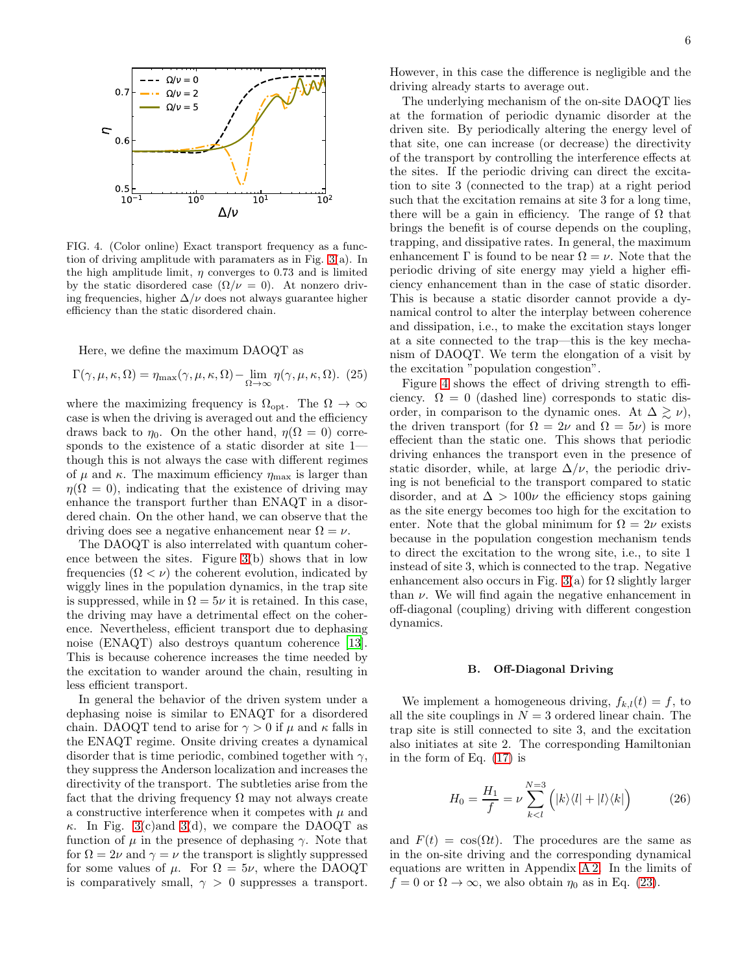

<span id="page-5-0"></span>FIG. 4. (Color online) Exact transport frequency as a function of driving amplitude with paramaters as in Fig. [3\(](#page-4-1)a). In the high amplitude limit,  $\eta$  converges to 0.73 and is limited by the static disordered case  $(\Omega/\nu = 0)$ . At nonzero driving frequencies, higher  $\Delta/\nu$  does not always guarantee higher efficiency than the static disordered chain.

Here, we define the maximum DAOQT as

$$
\Gamma(\gamma, \mu, \kappa, \Omega) = \eta_{\text{max}}(\gamma, \mu, \kappa, \Omega) - \lim_{\Omega \to \infty} \eta(\gamma, \mu, \kappa, \Omega). (25)
$$

where the maximizing frequency is  $\Omega_{\text{opt}}$ . The  $\Omega \to \infty$ case is when the driving is averaged out and the efficiency draws back to  $\eta_0$ . On the other hand,  $\eta(\Omega = 0)$  corresponds to the existence of a static disorder at site 1 though this is not always the case with different regimes of  $\mu$  and  $\kappa$ . The maximum efficiency  $\eta_{\text{max}}$  is larger than  $\eta(\Omega = 0)$ , indicating that the existence of driving may enhance the transport further than ENAQT in a disordered chain. On the other hand, we can observe that the driving does see a negative enhancement near  $\Omega = \nu$ .

The DAOQT is also interrelated with quantum coherence between the sites. Figure [3\(](#page-4-1)b) shows that in low frequencies  $(\Omega \langle \nu \rangle)$  the coherent evolution, indicated by wiggly lines in the population dynamics, in the trap site is suppressed, while in  $\Omega = 5\nu$  it is retained. In this case, the driving may have a detrimental effect on the coherence. Nevertheless, efficient transport due to dephasing noise (ENAQT) also destroys quantum coherence [\[13\]](#page-8-6). This is because coherence increases the time needed by the excitation to wander around the chain, resulting in less efficient transport.

In general the behavior of the driven system under a dephasing noise is similar to ENAQT for a disordered chain. DAOQT tend to arise for  $\gamma > 0$  if  $\mu$  and  $\kappa$  falls in the ENAQT regime. Onsite driving creates a dynamical disorder that is time periodic, combined together with  $\gamma$ , they suppress the Anderson localization and increases the directivity of the transport. The subtleties arise from the fact that the driving frequency  $\Omega$  may not always create a constructive interference when it competes with  $\mu$  and  $\kappa$ . In Fig. [3\(](#page-4-1)c)and 3(d), we compare the DAOQT as function of  $\mu$  in the presence of dephasing γ. Note that for  $\Omega = 2\nu$  and  $\gamma = \nu$  the transport is slightly suppressed for some values of  $\mu$ . For  $\Omega = 5\nu$ , where the DAOQT is comparatively small,  $\gamma > 0$  suppresses a transport.

However, in this case the difference is negligible and the driving already starts to average out.

The underlying mechanism of the on-site DAOQT lies at the formation of periodic dynamic disorder at the driven site. By periodically altering the energy level of that site, one can increase (or decrease) the directivity of the transport by controlling the interference effects at the sites. If the periodic driving can direct the excitation to site 3 (connected to the trap) at a right period such that the excitation remains at site 3 for a long time, there will be a gain in efficiency. The range of  $\Omega$  that brings the benefit is of course depends on the coupling, trapping, and dissipative rates. In general, the maximum enhancement  $\Gamma$  is found to be near  $\Omega = \nu$ . Note that the periodic driving of site energy may yield a higher efficiency enhancement than in the case of static disorder. This is because a static disorder cannot provide a dynamical control to alter the interplay between coherence and dissipation, i.e., to make the excitation stays longer at a site connected to the trap—this is the key mechanism of DAOQT. We term the elongation of a visit by the excitation "population congestion".

Figure [4](#page-5-0) shows the effect of driving strength to efficiency.  $\Omega = 0$  (dashed line) corresponds to static disorder, in comparison to the dynamic ones. At  $\Delta \gtrsim \nu$ , the driven transport (for  $\Omega = 2\nu$  and  $\Omega = 5\nu$ ) is more effecient than the static one. This shows that periodic driving enhances the transport even in the presence of static disorder, while, at large  $\Delta/\nu$ , the periodic driving is not beneficial to the transport compared to static disorder, and at  $\Delta > 100\nu$  the efficiency stops gaining as the site energy becomes too high for the excitation to enter. Note that the global minimum for  $\Omega = 2\nu$  exists because in the population congestion mechanism tends to direct the excitation to the wrong site, i.e., to site 1 instead of site 3, which is connected to the trap. Negative enhancement also occurs in Fig. [3\(](#page-4-1)a) for  $\Omega$  slightly larger than  $\nu$ . We will find again the negative enhancement in off-diagonal (coupling) driving with different congestion dynamics.

#### B. Off-Diagonal Driving

We implement a homogeneous driving,  $f_{k,l}(t) = f$ , to all the site couplings in  $N = 3$  ordered linear chain. The trap site is still connected to site 3, and the excitation also initiates at site 2. The corresponding Hamiltonian in the form of Eq. [\(17\)](#page-2-3) is

$$
H_0 = \frac{H_1}{f} = \nu \sum_{k (26)
$$

and  $F(t) = \cos(\Omega t)$ . The procedures are the same as in the on-site driving and the corresponding dynamical equations are written in Appendix [A 2.](#page-7-2) In the limits of  $f = 0$  or  $\Omega \to \infty$ , we also obtain  $\eta_0$  as in Eq. [\(23\)](#page-3-1).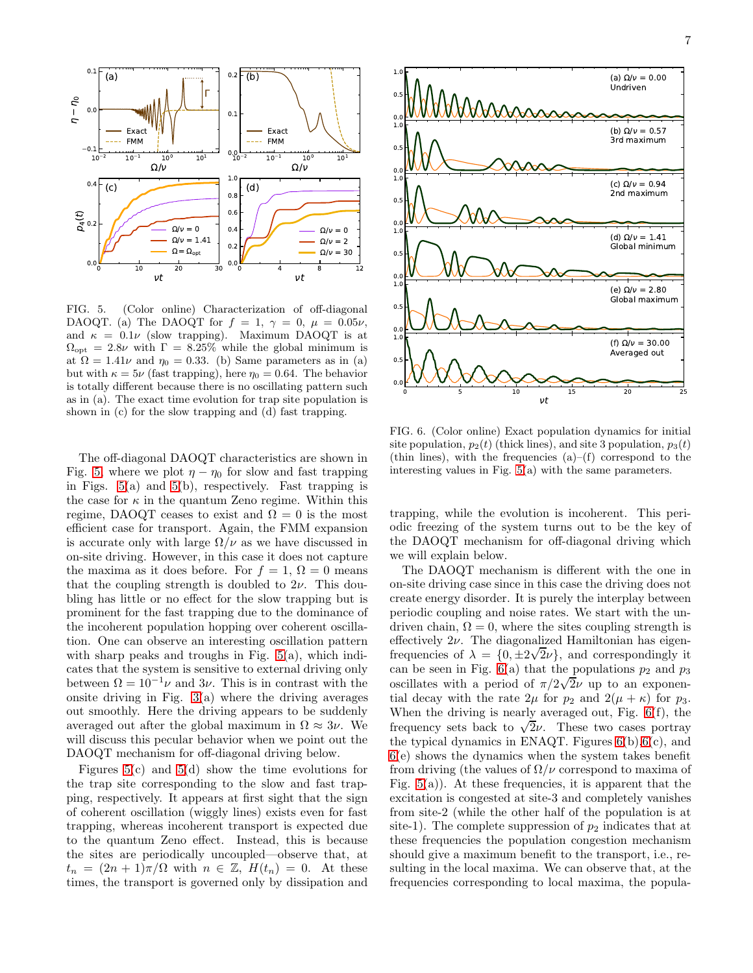

<span id="page-6-0"></span>FIG. 5. (Color online) Characterization of off-diagonal DAOQT. (a) The DAOQT for  $f = 1, \gamma = 0, \mu = 0.05\nu$ , and  $\kappa = 0.1\nu$  (slow trapping). Maximum DAOQT is at  $\Omega_{\text{opt}} = 2.8\nu$  with  $\Gamma = 8.25\%$  while the global minimum is at  $\Omega = 1.41\nu$  and  $\eta_0 = 0.33$ . (b) Same parameters as in (a) but with  $\kappa = 5\nu$  (fast trapping), here  $\eta_0 = 0.64$ . The behavior is totally different because there is no oscillating pattern such as in (a). The exact time evolution for trap site population is shown in (c) for the slow trapping and (d) fast trapping.

The off-diagonal DAOQT characteristics are shown in Fig. [5,](#page-6-0) where we plot  $\eta - \eta_0$  for slow and fast trapping in Figs. [5\(](#page-6-0)a) and [5\(](#page-6-0)b), respectively. Fast trapping is the case for  $\kappa$  in the quantum Zeno regime. Within this regime, DAOQT ceases to exist and  $\Omega = 0$  is the most efficient case for transport. Again, the FMM expansion is accurate only with large  $\Omega/\nu$  as we have discussed in on-site driving. However, in this case it does not capture the maxima as it does before. For  $f = 1$ ,  $\Omega = 0$  means that the coupling strength is doubled to  $2\nu$ . This doubling has little or no effect for the slow trapping but is prominent for the fast trapping due to the dominance of the incoherent population hopping over coherent oscillation. One can observe an interesting oscillation pattern with sharp peaks and troughs in Fig. [5\(](#page-6-0)a), which indicates that the system is sensitive to external driving only between  $\Omega = 10^{-1} \nu$  and  $3\nu$ . This is in contrast with the onsite driving in Fig.  $3(a)$  where the driving averages out smoothly. Here the driving appears to be suddenly averaged out after the global maximum in  $\Omega \approx 3\nu$ . We will discuss this pecular behavior when we point out the DAOQT mechanism for off-diagonal driving below.

Figures  $5(c)$  and  $5(d)$  show the time evolutions for the trap site corresponding to the slow and fast trapping, respectively. It appears at first sight that the sign of coherent oscillation (wiggly lines) exists even for fast trapping, whereas incoherent transport is expected due to the quantum Zeno effect. Instead, this is because the sites are periodically uncoupled—observe that, at  $t_n = (2n + 1)\pi/\Omega$  with  $n \in \mathbb{Z}$ ,  $H(t_n) = 0$ . At these times, the transport is governed only by dissipation and



<span id="page-6-1"></span>FIG. 6. (Color online) Exact population dynamics for initial site population,  $p_2(t)$  (thick lines), and site 3 population,  $p_3(t)$ (thin lines), with the frequencies  $(a)$ –(f) correspond to the interesting values in Fig. [5\(](#page-6-0)a) with the same parameters.

trapping, while the evolution is incoherent. This periodic freezing of the system turns out to be the key of the DAOQT mechanism for off-diagonal driving which we will explain below.

The DAOQT mechanism is different with the one in on-site driving case since in this case the driving does not create energy disorder. It is purely the interplay between periodic coupling and noise rates. We start with the undriven chain,  $\Omega = 0$ , where the sites coupling strength is effectively  $2\nu$ . The diagonalized Hamiltonian has eigenfrequencies of  $\lambda = \{0, \pm 2\sqrt{2\nu}\}\,$ , and correspondingly it can be seen in Fig.  $6(a)$  that the populations  $p_2$  and  $p_3$ oscillates with a period of  $\pi/2\sqrt{2}\nu$  up to an exponential decay with the rate  $2\mu$  for  $p_2$  and  $2(\mu + \kappa)$  for  $p_3$ . When the driving is nearly averaged out, Fig. [6\(](#page-6-1)f), the frequency sets back to  $\sqrt{2\nu}$ . These two cases portray the typical dynamics in ENAQT. Figures  $6(b)$ ,  $6(c)$ , and [6\(](#page-6-1)e) shows the dynamics when the system takes benefit from driving (the values of  $\Omega/\nu$  correspond to maxima of Fig.  $5(a)$ ). At these frequencies, it is apparent that the excitation is congested at site-3 and completely vanishes from site-2 (while the other half of the population is at site-1). The complete suppression of  $p_2$  indicates that at these frequencies the population congestion mechanism should give a maximum benefit to the transport, i.e., resulting in the local maxima. We can observe that, at the frequencies corresponding to local maxima, the popula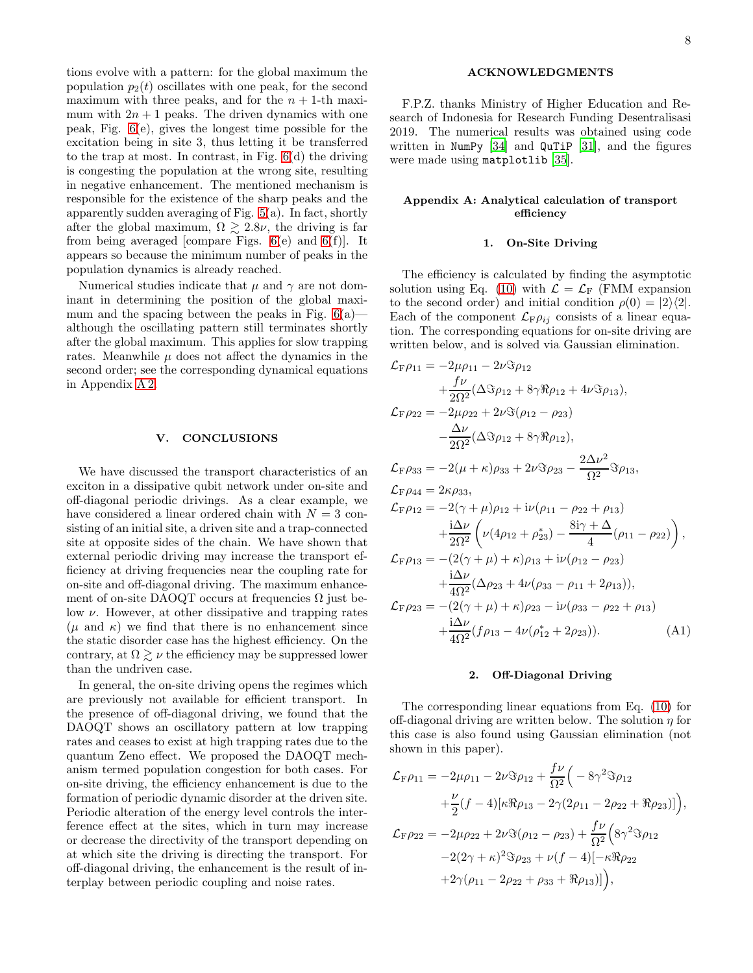tions evolve with a pattern: for the global maximum the population  $p_2(t)$  oscillates with one peak, for the second maximum with three peaks, and for the  $n + 1$ -th maximum with  $2n + 1$  peaks. The driven dynamics with one peak, Fig. [6\(](#page-6-1)e), gives the longest time possible for the excitation being in site 3, thus letting it be transferred to the trap at most. In contrast, in Fig. [6\(](#page-6-1)d) the driving is congesting the population at the wrong site, resulting in negative enhancement. The mentioned mechanism is responsible for the existence of the sharp peaks and the apparently sudden averaging of Fig. [5\(](#page-6-0)a). In fact, shortly after the global maximum,  $\Omega \gtrsim 2.8\nu$ , the driving is far from being averaged [compare Figs.  $6(e)$  and  $6(f)$ ]. It appears so because the minimum number of peaks in the population dynamics is already reached.

Numerical studies indicate that  $\mu$  and  $\gamma$  are not dominant in determining the position of the global maximum and the spacing between the peaks in Fig.  $6(a)$  although the oscillating pattern still terminates shortly after the global maximum. This applies for slow trapping rates. Meanwhile  $\mu$  does not affect the dynamics in the second order; see the corresponding dynamical equations in Appendix [A 2.](#page-7-2)

#### V. CONCLUSIONS

We have discussed the transport characteristics of an exciton in a dissipative qubit network under on-site and off-diagonal periodic drivings. As a clear example, we have considered a linear ordered chain with  $N = 3$  consisting of an initial site, a driven site and a trap-connected site at opposite sides of the chain. We have shown that external periodic driving may increase the transport efficiency at driving frequencies near the coupling rate for on-site and off-diagonal driving. The maximum enhancement of on-site DAOQT occurs at frequencies  $\Omega$  just below  $\nu$ . However, at other dissipative and trapping rates  $(\mu \text{ and } \kappa)$  we find that there is no enhancement since the static disorder case has the highest efficiency. On the contrary, at  $\Omega \gtrsim \nu$  the efficiency may be suppressed lower than the undriven case.

In general, the on-site driving opens the regimes which are previously not available for efficient transport. In the presence of off-diagonal driving, we found that the DAOQT shows an oscillatory pattern at low trapping rates and ceases to exist at high trapping rates due to the quantum Zeno effect. We proposed the DAOQT mechanism termed population congestion for both cases. For on-site driving, the efficiency enhancement is due to the formation of periodic dynamic disorder at the driven site. Periodic alteration of the energy level controls the interference effect at the sites, which in turn may increase or decrease the directivity of the transport depending on at which site the driving is directing the transport. For off-diagonal driving, the enhancement is the result of interplay between periodic coupling and noise rates.

## ACKNOWLEDGMENTS

F.P.Z. thanks Ministry of Higher Education and Research of Indonesia for Research Funding Desentralisasi 2019. The numerical results was obtained using code written in NumPy  $[34]$  and QuTiP  $[31]$  $[31]$ , and the figures were made using matplotlib [\[35](#page-8-27)].

## Appendix A: Analytical calculation of transport efficiency

## <span id="page-7-0"></span>1. On-Site Driving

The efficiency is calculated by finding the asymptotic solution using Eq. [\(10\)](#page-2-2) with  $\mathcal{L} = \mathcal{L}_{\text{F}}$  (FMM expansion to the second order) and initial condition  $\rho(0) = |2\rangle\langle 2|$ . Each of the component  $\mathcal{L}_{\mathrm{F}}\rho_{ij}$  consists of a linear equation. The corresponding equations for on-site driving are written below, and is solved via Gaussian elimination.

<span id="page-7-1"></span>
$$
\mathcal{L}_{F}\rho_{11} = -2\mu\rho_{11} - 2\nu\Im\rho_{12} \n+ \frac{f\nu}{2\Omega^{2}}(\Delta\Im\rho_{12} + 8\gamma\Re\rho_{12} + 4\nu\Im\rho_{13}), \n\mathcal{L}_{F}\rho_{22} = -2\mu\rho_{22} + 2\nu\Im(\rho_{12} - \rho_{23}) \n- \frac{\Delta\nu}{2\Omega^{2}}(\Delta\Im\rho_{12} + 8\gamma\Re\rho_{12}), \n\mathcal{L}_{F}\rho_{33} = -2(\mu + \kappa)\rho_{33} + 2\nu\Im\rho_{23} - \frac{2\Delta\nu^{2}}{\Omega^{2}}\Im\rho_{13}, \n\mathcal{L}_{F}\rho_{44} = 2\kappa\rho_{33}, \n\mathcal{L}_{F}\rho_{12} = -2(\gamma + \mu)\rho_{12} + i\nu(\rho_{11} - \rho_{22} + \rho_{13}) \n+ \frac{i\Delta\nu}{2\Omega^{2}}\left(\nu(4\rho_{12} + \rho_{23}^{*}) - \frac{8i\gamma + \Delta}{4}(\rho_{11} - \rho_{22})\right), \n\mathcal{L}_{F}\rho_{13} = -(2(\gamma + \mu) + \kappa)\rho_{13} + i\nu(\rho_{12} - \rho_{23}) \n+ \frac{i\Delta\nu}{4\Omega^{2}}(\Delta\rho_{23} + 4\nu(\rho_{33} - \rho_{11} + 2\rho_{13})), \n\mathcal{L}_{F}\rho_{23} = -(2(\gamma + \mu) + \kappa)\rho_{23} - i\nu(\rho_{33} - \rho_{22} + \rho_{13}) \n+ \frac{i\Delta\nu}{4\Omega^{2}}(f\rho_{13} - 4\nu(\rho_{12}^{*} + 2\rho_{23})).
$$
\n(A1)

## <span id="page-7-2"></span>2. Off-Diagonal Driving

The corresponding linear equations from Eq. [\(10\)](#page-2-2) for off-diagonal driving are written below. The solution  $\eta$  for this case is also found using Gaussian elimination (not shown in this paper).

$$
\mathcal{L}_{\mathrm{F}}\rho_{11} = -2\mu\rho_{11} - 2\nu\Im\rho_{12} + \frac{f\nu}{\Omega^2} \Big( -8\gamma^2\Im\rho_{12} \n+ \frac{\nu}{2} (f-4) [\kappa\Re\rho_{13} - 2\gamma(2\rho_{11} - 2\rho_{22} + \Re\rho_{23})] \Big), \n\mathcal{L}_{\mathrm{F}}\rho_{22} = -2\mu\rho_{22} + 2\nu\Im(\rho_{12} - \rho_{23}) + \frac{f\nu}{\Omega^2} \Big( 8\gamma^2\Im\rho_{12} \n-2(2\gamma + \kappa)^2\Im\rho_{23} + \nu(f-4) [-\kappa\Re\rho_{22} \n+2\gamma(\rho_{11} - 2\rho_{22} + \rho_{33} + \Re\rho_{13})] \Big),
$$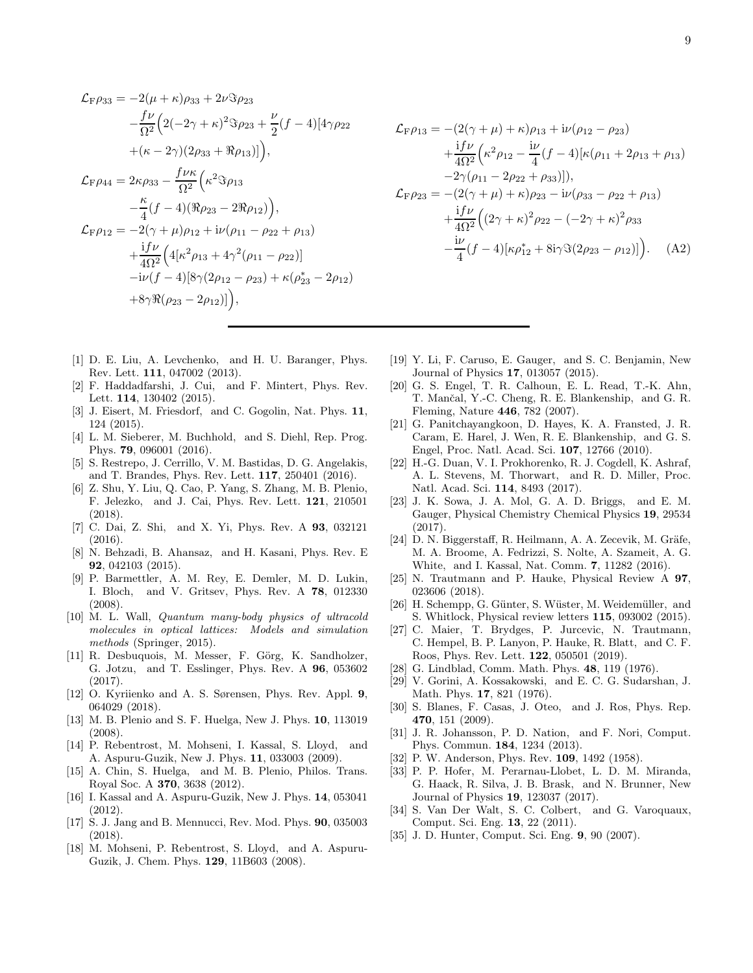$$
\mathcal{L}_{\rm F}\rho_{33} = -2(\mu + \kappa)\rho_{33} + 2\nu\Im\rho_{23} \n- \frac{f\nu}{\Omega^2} \Big( 2(-2\gamma + \kappa)^2 \Im \rho_{23} + \frac{\nu}{2} (f - 4) [4\gamma \rho_{22} \n+ (\kappa - 2\gamma)(2\rho_{33} + \Re \rho_{13})] \Big), \n\mathcal{L}_{\rm F}\rho_{44} = 2\kappa\rho_{33} - \frac{f\nu\kappa}{\Omega^2} \Big( \kappa^2 \Im \rho_{13} \n- \frac{\kappa}{4} (f - 4) (\Re \rho_{23} - 2\Re \rho_{12}) \Big), \n\mathcal{L}_{\rm F}\rho_{12} = -2(\gamma + \mu)\rho_{12} + i\nu(\rho_{11} - \rho_{22} + \rho_{13}) \n+ \frac{i f\nu}{4\Omega^2} \Big( 4[\kappa^2 \rho_{13} + 4\gamma^2(\rho_{11} - \rho_{22})] \n- i\nu(f - 4) [8\gamma(2\rho_{12} - \rho_{23}) + \kappa(\rho_{23}^* - 2\rho_{12})] \Big),
$$

$$
\mathcal{L}_{\rm F}\rho_{13} = -(2(\gamma + \mu) + \kappa)\rho_{13} + i\nu(\rho_{12} - \rho_{23})
$$
  
+ 
$$
\frac{i f \nu}{4\Omega^2} \left(\kappa^2 \rho_{12} - \frac{i\nu}{4} (f - 4) [\kappa(\rho_{11} + 2\rho_{13} + \rho_{13})
$$
  
-2\gamma(\rho\_{11} - 2\rho\_{22} + \rho\_{33})]),  

$$
\mathcal{L}_{\rm F}\rho_{23} = -(2(\gamma + \mu) + \kappa)\rho_{23} - i\nu(\rho_{33} - \rho_{22} + \rho_{13})
$$
  
+ 
$$
\frac{i f \nu}{4\Omega^2} ((2\gamma + \kappa)^2 \rho_{22} - (-2\gamma + \kappa)^2 \rho_{33} - \frac{i\nu}{4} (f - 4) [\kappa \rho_{12}^* + 8i\gamma \Im(2\rho_{23} - \rho_{12})]).
$$
 (A2)

- <span id="page-8-0"></span>[1] D. E. Liu, A. Levchenko, and H. U. Baranger, Phys. Rev. Lett. 111, 047002 (2013).
- [2] F. Haddadfarshi, J. Cui, and F. Mintert, Phys. Rev. Lett. 114, 130402 (2015).
- [3] J. Eisert, M. Friesdorf, and C. Gogolin, Nat. Phys. 11, 124 (2015).
- [4] L. M. Sieberer, M. Buchhold, and S. Diehl, Rep. Prog. Phys. 79, 096001 (2016).
- [5] S. Restrepo, J. Cerrillo, V. M. Bastidas, D. G. Angelakis, and T. Brandes, Phys. Rev. Lett. 117, 250401 (2016).
- [6] Z. Shu, Y. Liu, Q. Cao, P. Yang, S. Zhang, M. B. Plenio, F. Jelezko, and J. Cai, Phys. Rev. Lett. 121, 210501 (2018).
- <span id="page-8-1"></span>[7] C. Dai, Z. Shi, and X. Yi, Phys. Rev. A 93, 032121 (2016).
- <span id="page-8-2"></span>[8] N. Behzadi, B. Ahansaz, and H. Kasani, Phys. Rev. E 92, 042103 (2015).
- [9] P. Barmettler, A. M. Rey, E. Demler, M. D. Lukin, I. Bloch, and V. Gritsev, Phys. Rev. A 78, 012330 (2008).
- <span id="page-8-3"></span>[10] M. L. Wall, *Quantum many-body physics of ultracold molecules in optical lattices: Models and simulation methods* (Springer, 2015).
- <span id="page-8-4"></span>[11] R. Desbuquois, M. Messer, F. Görg, K. Sandholzer, G. Jotzu, and T. Esslinger, Phys. Rev. A 96, 053602 (2017).
- <span id="page-8-5"></span>[12] O. Kyriienko and A. S. Sørensen, Phys. Rev. Appl. 9, 064029 (2018).
- <span id="page-8-6"></span>[13] M. B. Plenio and S. F. Huelga, New J. Phys. 10, 113019 (2008).
- <span id="page-8-9"></span>[14] P. Rebentrost, M. Mohseni, I. Kassal, S. Lloyd, and A. Aspuru-Guzik, New J. Phys. 11, 033003 (2009).
- [15] A. Chin, S. Huelga, and M. B. Plenio, Philos. Trans. Royal Soc. A 370, 3638 (2012).
- <span id="page-8-7"></span>[16] I. Kassal and A. Aspuru-Guzik, New J. Phys. 14, 053041 (2012).
- <span id="page-8-8"></span>[17] S. J. Jang and B. Mennucci, Rev. Mod. Phys. 90, 035003 (2018).
- <span id="page-8-10"></span>[18] M. Mohseni, P. Rebentrost, S. Lloyd, and A. Aspuru-Guzik, J. Chem. Phys. 129, 11B603 (2008).
- <span id="page-8-11"></span>[19] Y. Li, F. Caruso, E. Gauger, and S. C. Benjamin, New Journal of Physics 17, 013057 (2015).
- <span id="page-8-12"></span>[20] G. S. Engel, T. R. Calhoun, E. L. Read, T.-K. Ahn, T. Mančal, Y.-C. Cheng, R. E. Blankenship, and G. R. Fleming, Nature 446, 782 (2007).
- <span id="page-8-13"></span>[21] G. Panitchayangkoon, D. Hayes, K. A. Fransted, J. R. Caram, E. Harel, J. Wen, R. E. Blankenship, and G. S. Engel, Proc. Natl. Acad. Sci. 107, 12766 (2010).
- <span id="page-8-14"></span>[22] H.-G. Duan, V. I. Prokhorenko, R. J. Cogdell, K. Ashraf, A. L. Stevens, M. Thorwart, and R. D. Miller, Proc. Natl. Acad. Sci. 114, 8493 (2017).
- <span id="page-8-15"></span>[23] J. K. Sowa, J. A. Mol, G. A. D. Briggs, and E. M. Gauger, Physical Chemistry Chemical Physics 19, 29534 (2017).
- <span id="page-8-17"></span>[24] D. N. Biggerstaff, R. Heilmann, A. A. Zecevik, M. Gräfe, M. A. Broome, A. Fedrizzi, S. Nolte, A. Szameit, A. G. White, and I. Kassal, Nat. Comm. 7, 11282 (2016).
- <span id="page-8-18"></span>[25] N. Trautmann and P. Hauke, Physical Review A 97, 023606 (2018).
- <span id="page-8-19"></span>[26] H. Schempp, G. Günter, S. Wüster, M. Weidemüller, and S. Whitlock, Physical review letters 115, 093002 (2015).
- <span id="page-8-16"></span>[27] C. Maier, T. Brydges, P. Jurcevic, N. Trautmann, C. Hempel, B. P. Lanyon, P. Hauke, R. Blatt, and C. F. Roos, Phys. Rev. Lett. 122, 050501 (2019).
- <span id="page-8-20"></span>[28] G. Lindblad, Comm. Math. Phys. 48, 119 (1976).
- <span id="page-8-21"></span>[29] V. Gorini, A. Kossakowski, and E. C. G. Sudarshan, J. Math. Phys. 17, 821 (1976).
- <span id="page-8-22"></span>[30] S. Blanes, F. Casas, J. Oteo, and J. Ros, Phys. Rep. 470, 151 (2009).
- <span id="page-8-23"></span>[31] J. R. Johansson, P. D. Nation, and F. Nori, Comput. Phys. Commun. 184, 1234 (2013).
- <span id="page-8-24"></span>[32] P. W. Anderson, Phys. Rev. 109, 1492 (1958).
- <span id="page-8-25"></span>[33] P. P. Hofer, M. Perarnau-Llobet, L. D. M. Miranda, G. Haack, R. Silva, J. B. Brask, and N. Brunner, New Journal of Physics 19, 123037 (2017).
- <span id="page-8-26"></span>[34] S. Van Der Walt, S. C. Colbert, and G. Varoquaux, Comput. Sci. Eng. 13, 22 (2011).
- <span id="page-8-27"></span>[35] J. D. Hunter, Comput. Sci. Eng. 9, 90 (2007).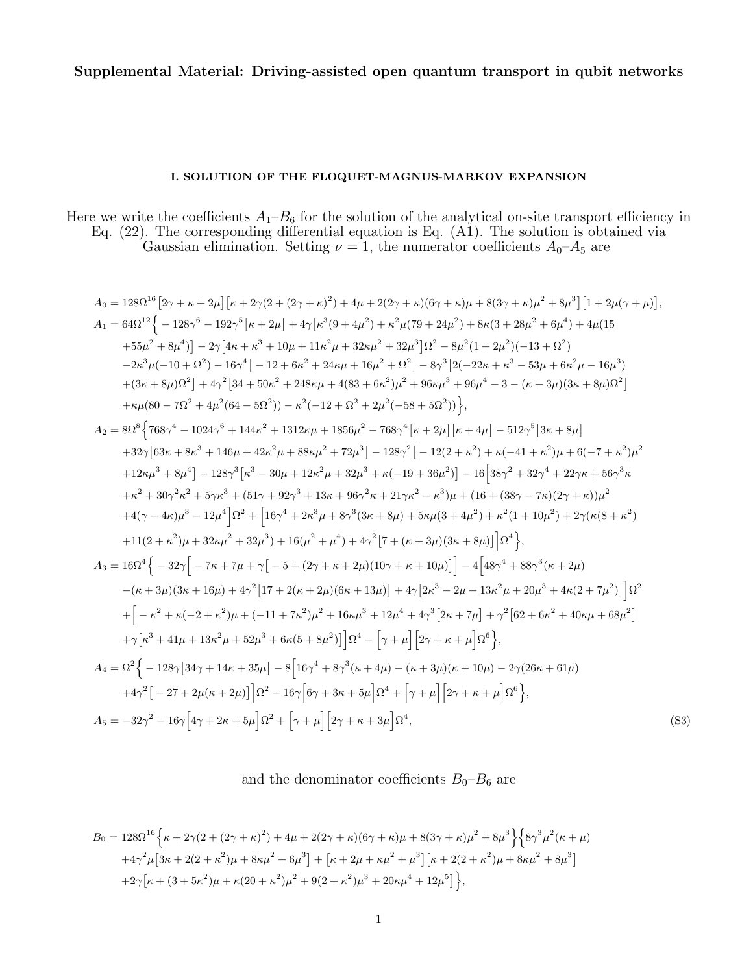# Supplemental Material: Driving-assisted open quantum transport in qubit networks

# I. SOLUTION OF THE FLOQUET-MAGNUS-MARKOV EXPANSION

Here we write the coefficients  $A_1-B_6$  for the solution of the analytical on-site transport efficiency in Eq. (22). The corresponding differential equation is Eq. (A1). The solution is obtained via Gaussian elimination. Setting  $\nu = 1$ , the numerator coefficients  $A_0$ - $A_5$  are

$$
A_0 = 128\Omega^{16} [2\gamma + \kappa + 2\mu] [\kappa + 2\gamma(2 + (2\gamma + \kappa)^2) + 4\mu + 2(2\gamma + \kappa)(6\gamma + \kappa)\mu + 8(3\gamma + \kappa)\mu^2 + 8\mu^3] [1 + 2\mu(\gamma + \mu)],
$$
  
\n
$$
A_1 = 64\Omega^{12} \Big\{ -128\gamma^6 - 192\gamma^5 [\kappa + 2\mu] + 4\gamma [\kappa^3(9 + 4\mu^2) + \kappa^2 \mu(79 + 24\mu^2) + 8\kappa(3 + 28\mu^2 + 6\mu^4) + 4\mu(15 + 55\mu^2 + 8\mu^4)] - 2\gamma [4\kappa + \kappa^3 + 10\mu + 11\kappa^2 \mu + 32\kappa\mu^2 + 32\mu^3] \Omega^2 - 8\mu^2 (1 + 2\mu^2)(-13 + \Omega^2) - 2\kappa^3 \mu(-10 + \Omega^2) - 16\gamma^4 [-12 + 6\kappa^2 + 24\kappa\mu + 16\mu^2 + \Omega^2] - 8\gamma^3 [2(-22\kappa + \kappa^3 - 53\mu + 6\kappa^2\mu - 16\mu^3) + (3\kappa + 8\mu)\Omega^2] + 4\gamma^2 [34 + 50\kappa^2 + 248\kappa\mu + 4(83 + 6\kappa^2)\mu^2 + 96\kappa\mu^3 + 96\mu^4 - 3 - (\kappa + 3\mu)(3\kappa + 8\mu)\Omega^2] + \kappa \mu (80 - 7\Omega^2 + 4\mu^2(64 - 5\Omega^2)) - \kappa^2(-12 + \Omega^2 + 2\mu^2(-58 + 5\Omega^2)) \Big\},
$$
  
\n
$$
A_2 = 8\Omega^8 \Big\{ 768\gamma^4 - 1024\gamma^6 + 144\kappa^2 + 1312\kappa\mu + 1856\mu^2 - 768\gamma^4 [\kappa + 2\mu] [\kappa + 4\mu] - 512\gamma^5 [3\kappa + 8\mu] + 32\gamma [63\kappa +
$$

$$
+32\gamma \left[63\kappa + 8\kappa^3 + 146\mu + 42\kappa^2\mu + 88\kappa\mu^2 + 72\mu^3\right] - 128\gamma^2 \left[-12(2+\kappa^2) + \kappa(-41+\kappa^2)\mu + 6(-7+\kappa^2)\mu^2\right] +12\kappa\mu^3 + 8\mu^4\right] - 128\gamma^3 \left[\kappa^3 - 30\mu + 12\kappa^2\mu + 32\mu^3 + \kappa(-19+36\mu^2)\right] - 16\left[38\gamma^2 + 32\gamma^4 + 22\gamma\kappa + 56\gamma^3\kappa\right. + \kappa^2 + 30\gamma^2\kappa^2 + 5\gamma\kappa^3 + (51\gamma + 92\gamma^3 + 13\kappa + 96\gamma^2\kappa + 21\gamma\kappa^2 - \kappa^3)\mu + (16 + (38\gamma - 7\kappa)(2\gamma + \kappa))\mu^2 +4(\gamma - 4\kappa)\mu^3 - 12\mu^4\right]\Omega^2 + \left[16\gamma^4 + 2\kappa^3\mu + 8\gamma^3(3\kappa + 8\mu) + 5\kappa\mu(3 + 4\mu^2) + \kappa^2(1 + 10\mu^2) + 2\gamma(\kappa(8 + \kappa^2) + 11(2+\kappa^2)\mu + 32\kappa\mu^2 + 32\mu^3) + 16(\mu^2 + \mu^4) + 4\gamma^2\left[7 + (\kappa + 3\mu)(3\kappa + 8\mu)\right]\Omega^4\right\},\newline A_3 = 16\Omega^4\left\{-32\gamma\left[-7\kappa + 7\mu + \gamma\left[-5 + (2\gamma + \kappa + 2\mu)(10\gamma + \kappa + 10\mu)\right]\right] - 4\left[48\gamma^4 + 88\gamma^3(\kappa + 2\mu) -(\kappa + 3\mu)(3\kappa + 16\mu) + 4\gamma^2\left[17 + 2(\kappa + 2\mu)(6\kappa + 13\mu)\right] + 4\gamma\left[2\kappa^3 - 2\mu + 13\kappa^2\mu + 20\mu^
$$

# and the denominator coefficients  $B_0-B_6$  are

$$
B_0 = 128\Omega^{16}\left\{\kappa + 2\gamma(2 + (2\gamma + \kappa)^2) + 4\mu + 2(2\gamma + \kappa)(6\gamma + \kappa)\mu + 8(3\gamma + \kappa)\mu^2 + 8\mu^3\right\}\left\{8\gamma^3\mu^2(\kappa + \mu) + 4\gamma^2\mu[3\kappa + 2(2 + \kappa^2)\mu + 8\kappa\mu^2 + 6\mu^3] + [\kappa + 2\mu + \kappa\mu^2 + \mu^3][\kappa + 2(2 + \kappa^2)\mu + 8\kappa\mu^2 + 8\mu^3] + 2\gamma[\kappa + (3 + 5\kappa^2)\mu + \kappa(20 + \kappa^2)\mu^2 + 9(2 + \kappa^2)\mu^3 + 20\kappa\mu^4 + 12\mu^5]\right\},\,
$$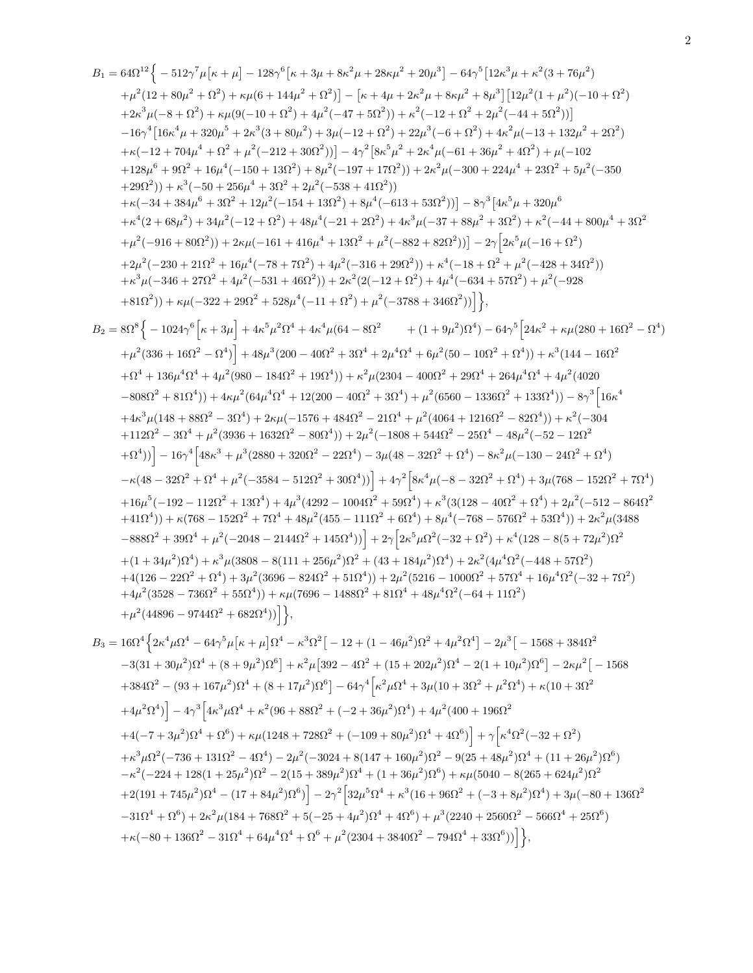$$
\begin{array}{l} B_1 = 64\Omega^{12}\Big\{-512\gamma^7\mu[\kappa+\mu]-128\gamma^6[\kappa+3\mu+8\kappa^2\mu+28\kappa\mu^2+20\mu^3\Big]-64\gamma^5[12\kappa^3\mu+\kappa^2(3+76\mu^2)\\ +\mu^2(12+80\mu^2+6\lambda^2)+\kappa\mu(6+144\mu^2+6\lambda^2)]-[\kappa+4\mu+2\kappa^2\mu+8\kappa\mu^2+8\kappa\mu^2] -8\mu^3\Big\{[12\mu^2(1+\mu^2)(-10+6)^2\Big\}\\ +2\kappa^2\mu(-8+6)^2)+\kappa\mu(6-10+6)^2\Big\}+\kappa^2(12+6)^2\Big\}+\kappa^2(12+12)^2+2\mu^2(-4+6)^2\Big\}+4\kappa^2\mu(12+14)\Omega^{12}\Big] \\ -16\gamma^4[16\kappa^2\mu+320\mu^5+2\mu^3(3+80\mu^2)+3\mu(-12+12)^2\big\}+2\mu^2(-6+6)^2\big\}+\kappa^2(4-4+80\Omega^2)+2\mu^2(-12+12)^2\big\}\\ +8(12\mu^2)^{12}+6\mu^4(1-50+256\mu^4+32^2+2\kappa^2\mu^2-12+2\kappa^2\mu^2-12\mu^2(-6+6)^2\big)\\\ +128\mu^6+90^2+16\mu^4-16^2+16^2+3\mu^2(-12+31^2)\big\}+8\mu^3(-12+32\mu^2+2\kappa^2\mu(-30+224\mu^4+3\Omega^2)+\mu^2(-40+20)\mu^2\\ +128\mu^6+90^2+8\mu^2(1-16+146\mu^4+130^2+\mu^2(-33+41\Omega^2))\Big] -8\gamma^3\big\{4\kappa^3\mu^2-43\Omega^2+\beta\mu^2(-36+2\Omega^2)\big\}\\ +\kappa^2(2+69\mu^2)+84\mu^4(-78+13\Omega^2)+8\
$$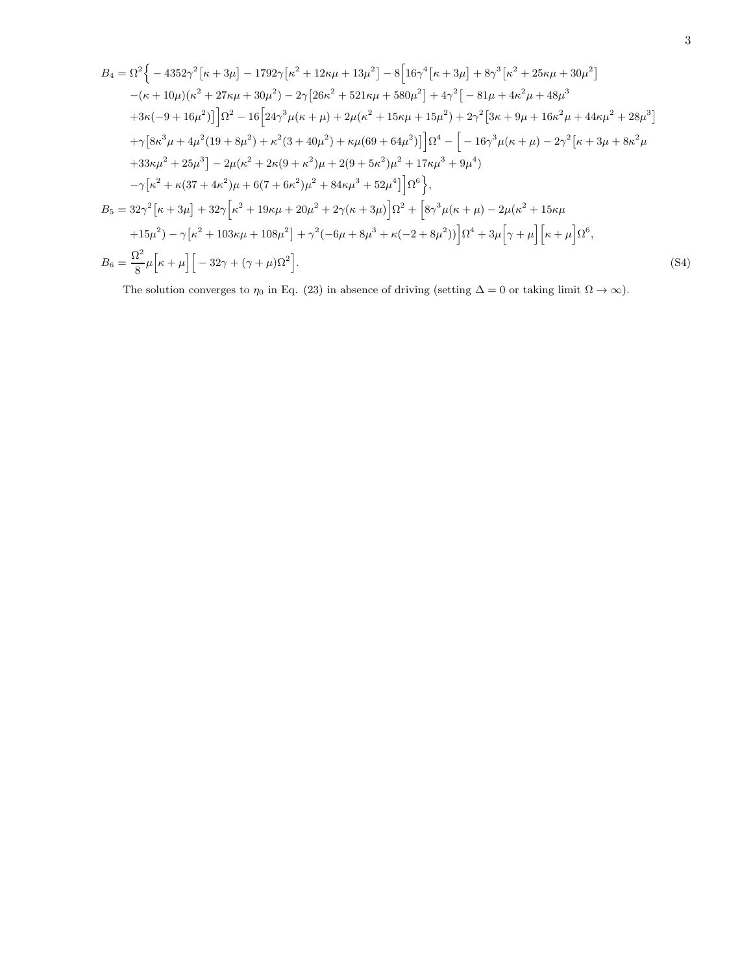$$
B_4 = \Omega^2 \Big\{ -4352\gamma^2 \big[\kappa + 3\mu\big] - 1792\gamma \big[\kappa^2 + 12\kappa\mu + 13\mu^2\big] - 8 \Big[16\gamma^4 \big[\kappa + 3\mu\big] + 8\gamma^3 \big[\kappa^2 + 25\kappa\mu + 30\mu^2\big] -(\kappa + 10\mu)(\kappa^2 + 27\kappa\mu + 30\mu^2) - 2\gamma \big[26\kappa^2 + 521\kappa\mu + 580\mu^2\big] + 4\gamma^2 \big[-81\mu + 4\kappa^2\mu + 48\mu^3 + 3\kappa(-9 + 16\mu^2)\big]\Big[\Omega^2 - 16 \Big[24\gamma^3\mu(\kappa + \mu) + 2\mu(\kappa^2 + 15\kappa\mu + 15\mu^2) + 2\gamma^2 \big[3\kappa + 9\mu + 16\kappa^2\mu + 44\kappa\mu^2 + 28\mu^3\big] + \gamma \big[8\kappa^3\mu + 4\mu^2(19 + 8\mu^2) + \kappa^2(3 + 40\mu^2) + \kappa\mu(69 + 64\mu^2)\big]\Big]\Omega^4 - \Big[-16\gamma^3\mu(\kappa + \mu) - 2\gamma^2 \big[\kappa + 3\mu + 8\kappa^2\mu + 33\kappa\mu^2 + 25\mu^3\big] - 2\mu(\kappa^2 + 2\kappa(9 + \kappa^2)\mu + 2(9 + 5\kappa^2)\mu^2 + 17\kappa\mu^3 + 9\mu^4) - \gamma \big[\kappa^2 + \kappa(37 + 4\kappa^2)\mu + 6(7 + 6\kappa^2)\mu^2 + 84\kappa\mu^3 + 52\mu^4\big]\Omega^6\Big\},
$$
  

$$
B_5 = 32\gamma^2 \big[\kappa + 3\mu\big] + 32\gamma \big[\kappa^2 + 19\kappa\mu + 20\mu^2 + 2\gamma(\kappa + 3\mu)\big]\Omega^2 + \big[8\gamma^3\mu(\kappa + \mu) - 2\mu(\kappa^
$$

The solution converges to  $\eta_0$  in Eq. (23) in absence of driving (setting  $\Delta = 0$  or taking limit  $\Omega \to \infty$ ).